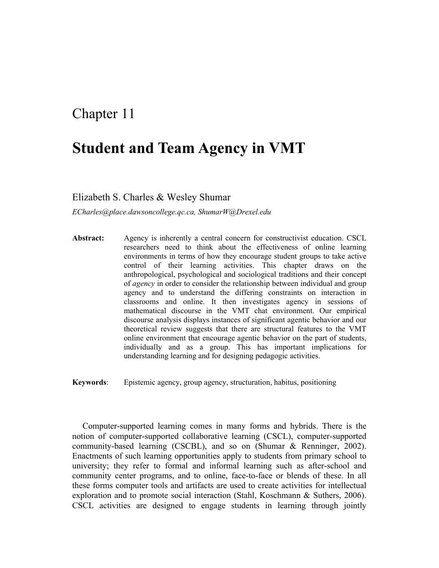## Chapter 11

# **Student and Team Agency in VMT**

Elizabeth S. Charles & Wesley Shumar

*ECharles@place.dawsoncollege.qc.ca, ShumarW@Drexel.edu*

**Abstract:** Agency is inherently a central concern for constructivist education. CSCL researchers need to think about the effectiveness of online learning environments in terms of how they encourage student groups to take active control of their learning activities. This chapter draws on the anthropological, psychological and sociological traditions and their concept of *agency* in order to consider the relationship between individual and group agency and to understand the differing constraints on interaction in classrooms and online. It then investigates agency in sessions of mathematical discourse in the VMT chat environment. Our empirical discourse analysis displays instances of significant agentic behavior and our theoretical review suggests that there are structural features to the VMT online environment that encourage agentic behavior on the part of students, individually and as a group. This has important implications for understanding learning and for designing pedagogic activities.

**Keywords**: Epistemic agency, group agency, structuration, habitus, positioning

Computer-supported learning comes in many forms and hybrids. There is the notion of computer-supported collaborative learning (CSCL), computer-supported community-based learning (CSCBL), and so on (Shumar & Renninger, 2002). Enactments of such learning opportunities apply to students from primary school to university; they refer to formal and informal learning such as after-school and community center programs, and to online, face-to-face or blends of these. In all these forms computer tools and artifacts are used to create activities for intellectual exploration and to promote social interaction (Stahl, Koschmann & Suthers, 2006). CSCL activities are designed to engage students in learning through jointly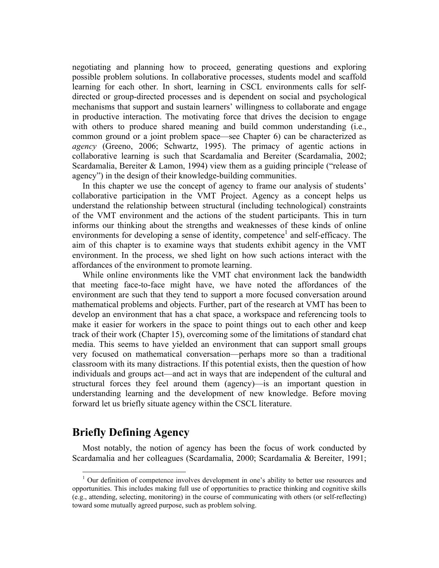negotiating and planning how to proceed, generating questions and exploring possible problem solutions. In collaborative processes, students model and scaffold learning for each other. In short, learning in CSCL environments calls for selfdirected or group-directed processes and is dependent on social and psychological mechanisms that support and sustain learners' willingness to collaborate and engage in productive interaction. The motivating force that drives the decision to engage with others to produce shared meaning and build common understanding (i.e., common ground or a joint problem space—see Chapter 6) can be characterized as *agency* (Greeno, 2006; Schwartz, 1995). The primacy of agentic actions in collaborative learning is such that Scardamalia and Bereiter (Scardamalia, 2002; Scardamalia, Bereiter & Lamon, 1994) view them as a guiding principle ("release of agency") in the design of their knowledge-building communities.

In this chapter we use the concept of agency to frame our analysis of students' collaborative participation in the VMT Project. Agency as a concept helps us understand the relationship between structural (including technological) constraints of the VMT environment and the actions of the student participants. This in turn informs our thinking about the strengths and weaknesses of these kinds of online environments for developing a sense of identity, competence<sup>1</sup> and self-efficacy. The aim of this chapter is to examine ways that students exhibit agency in the VMT environment. In the process, we shed light on how such actions interact with the affordances of the environment to promote learning.

While online environments like the VMT chat environment lack the bandwidth that meeting face-to-face might have, we have noted the affordances of the environment are such that they tend to support a more focused conversation around mathematical problems and objects. Further, part of the research at VMT has been to develop an environment that has a chat space, a workspace and referencing tools to make it easier for workers in the space to point things out to each other and keep track of their work (Chapter 15), overcoming some of the limitations of standard chat media. This seems to have yielded an environment that can support small groups very focused on mathematical conversation—perhaps more so than a traditional classroom with its many distractions. If this potential exists, then the question of how individuals and groups act—and act in ways that are independent of the cultural and structural forces they feel around them (agency)—is an important question in understanding learning and the development of new knowledge. Before moving forward let us briefly situate agency within the CSCL literature.

### **Briefly Defining Agency**

Most notably, the notion of agency has been the focus of work conducted by Scardamalia and her colleagues (Scardamalia, 2000; Scardamalia & Bereiter, 1991;

 $\frac{1}{1}$  $1$  Our definition of competence involves development in one's ability to better use resources and opportunities. This includes making full use of opportunities to practice thinking and cognitive skills (e.g., attending, selecting, monitoring) in the course of communicating with others (or self-reflecting) toward some mutually agreed purpose, such as problem solving.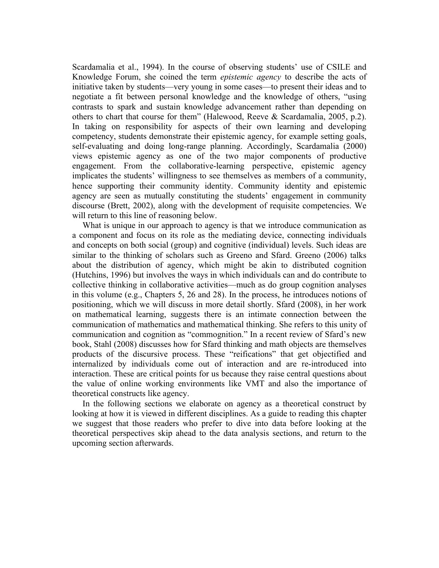Scardamalia et al., 1994). In the course of observing students' use of CSILE and Knowledge Forum, she coined the term *epistemic agency* to describe the acts of initiative taken by students—very young in some cases—to present their ideas and to negotiate a fit between personal knowledge and the knowledge of others, "using contrasts to spark and sustain knowledge advancement rather than depending on others to chart that course for them" (Halewood, Reeve & Scardamalia, 2005, p.2). In taking on responsibility for aspects of their own learning and developing competency, students demonstrate their epistemic agency, for example setting goals, self-evaluating and doing long-range planning. Accordingly, Scardamalia (2000) views epistemic agency as one of the two major components of productive engagement. From the collaborative-learning perspective, epistemic agency implicates the students' willingness to see themselves as members of a community, hence supporting their community identity. Community identity and epistemic agency are seen as mutually constituting the students' engagement in community discourse (Brett, 2002), along with the development of requisite competencies. We will return to this line of reasoning below.

What is unique in our approach to agency is that we introduce communication as a component and focus on its role as the mediating device, connecting individuals and concepts on both social (group) and cognitive (individual) levels. Such ideas are similar to the thinking of scholars such as Greeno and Sfard. Greeno (2006) talks about the distribution of agency, which might be akin to distributed cognition (Hutchins, 1996) but involves the ways in which individuals can and do contribute to collective thinking in collaborative activities—much as do group cognition analyses in this volume (e.g., Chapters 5, 26 and 28). In the process, he introduces notions of positioning, which we will discuss in more detail shortly. Sfard (2008), in her work on mathematical learning, suggests there is an intimate connection between the communication of mathematics and mathematical thinking. She refers to this unity of communication and cognition as "commognition." In a recent review of Sfard's new book, Stahl (2008) discusses how for Sfard thinking and math objects are themselves products of the discursive process. These "reifications" that get objectified and internalized by individuals come out of interaction and are re-introduced into interaction. These are critical points for us because they raise central questions about the value of online working environments like VMT and also the importance of theoretical constructs like agency.

In the following sections we elaborate on agency as a theoretical construct by looking at how it is viewed in different disciplines. As a guide to reading this chapter we suggest that those readers who prefer to dive into data before looking at the theoretical perspectives skip ahead to the data analysis sections, and return to the upcoming section afterwards.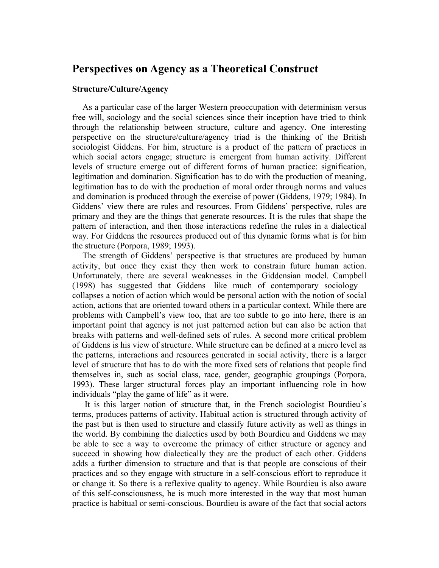### **Perspectives on Agency as a Theoretical Construct**

#### **Structure/Culture/Agency**

As a particular case of the larger Western preoccupation with determinism versus free will, sociology and the social sciences since their inception have tried to think through the relationship between structure, culture and agency. One interesting perspective on the structure/culture/agency triad is the thinking of the British sociologist Giddens. For him, structure is a product of the pattern of practices in which social actors engage; structure is emergent from human activity. Different levels of structure emerge out of different forms of human practice: signification, legitimation and domination. Signification has to do with the production of meaning, legitimation has to do with the production of moral order through norms and values and domination is produced through the exercise of power (Giddens, 1979; 1984). In Giddens' view there are rules and resources. From Giddens' perspective, rules are primary and they are the things that generate resources. It is the rules that shape the pattern of interaction, and then those interactions redefine the rules in a dialectical way. For Giddens the resources produced out of this dynamic forms what is for him the structure (Porpora, 1989; 1993).

The strength of Giddens' perspective is that structures are produced by human activity, but once they exist they then work to constrain future human action. Unfortunately, there are several weaknesses in the Giddensian model. Campbell (1998) has suggested that Giddens—like much of contemporary sociology collapses a notion of action which would be personal action with the notion of social action, actions that are oriented toward others in a particular context. While there are problems with Campbell's view too, that are too subtle to go into here, there is an important point that agency is not just patterned action but can also be action that breaks with patterns and well-defined sets of rules. A second more critical problem of Giddens is his view of structure. While structure can be defined at a micro level as the patterns, interactions and resources generated in social activity, there is a larger level of structure that has to do with the more fixed sets of relations that people find themselves in, such as social class, race, gender, geographic groupings (Porpora, 1993). These larger structural forces play an important influencing role in how individuals "play the game of life" as it were.

 It is this larger notion of structure that, in the French sociologist Bourdieu's terms, produces patterns of activity. Habitual action is structured through activity of the past but is then used to structure and classify future activity as well as things in the world. By combining the dialectics used by both Bourdieu and Giddens we may be able to see a way to overcome the primacy of either structure or agency and succeed in showing how dialectically they are the product of each other. Giddens adds a further dimension to structure and that is that people are conscious of their practices and so they engage with structure in a self-conscious effort to reproduce it or change it. So there is a reflexive quality to agency. While Bourdieu is also aware of this self-consciousness, he is much more interested in the way that most human practice is habitual or semi-conscious. Bourdieu is aware of the fact that social actors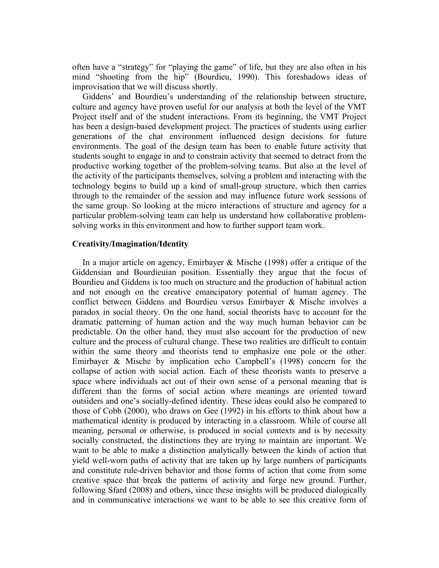often have a "strategy" for "playing the game" of life, but they are also often in his mind "shooting from the hip" (Bourdieu, 1990). This foreshadows ideas of improvisation that we will discuss shortly.

Giddens' and Bourdieu's understanding of the relationship between structure, culture and agency have proven useful for our analysis at both the level of the VMT Project itself and of the student interactions. From its beginning, the VMT Project has been a design-based development project. The practices of students using earlier generations of the chat environment influenced design decisions for future environments. The goal of the design team has been to enable future activity that students sought to engage in and to constrain activity that seemed to detract from the productive working together of the problem-solving teams. But also at the level of the activity of the participants themselves, solving a problem and interacting with the technology begins to build up a kind of small-group structure, which then carries through to the remainder of the session and may influence future work sessions of the same group. So looking at the micro interactions of structure and agency for a particular problem-solving team can help us understand how collaborative problemsolving works in this environment and how to further support team work.

#### **Creativity/Imagination/Identity**

In a major article on agency, Emirbayer & Mische (1998) offer a critique of the Giddensian and Bourdieuian position. Essentially they argue that the focus of Bourdieu and Giddens is too much on structure and the production of habitual action and not enough on the creative emancipatory potential of human agency. The conflict between Giddens and Bourdieu versus Emirbayer & Mische involves a paradox in social theory. On the one hand, social theorists have to account for the dramatic patterning of human action and the way much human behavior can be predictable. On the other hand, they must also account for the production of new culture and the process of cultural change. These two realities are difficult to contain within the same theory and theorists tend to emphasize one pole or the other. Emirbayer & Mische by implication echo Campbell's (1998) concern for the collapse of action with social action. Each of these theorists wants to preserve a space where individuals act out of their own sense of a personal meaning that is different than the forms of social action where meanings are oriented toward outsiders and one's socially-defined identity. These ideas could also be compared to those of Cobb (2000), who draws on Gee (1992) in his efforts to think about how a mathematical identity is produced by interacting in a classroom. While of course all meaning, personal or otherwise, is produced in social contexts and is by necessity socially constructed, the distinctions they are trying to maintain are important. We want to be able to make a distinction analytically between the kinds of action that yield well-worn paths of activity that are taken up by large numbers of participants and constitute rule-driven behavior and those forms of action that come from some creative space that break the patterns of activity and forge new ground. Further, following Sfard (2008) and others, since these insights will be produced dialogically and in communicative interactions we want to be able to see this creative form of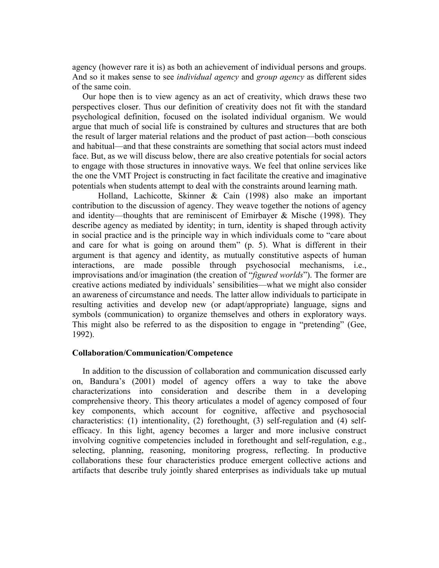agency (however rare it is) as both an achievement of individual persons and groups. And so it makes sense to see *individual agency* and *group agency* as different sides of the same coin.

Our hope then is to view agency as an act of creativity, which draws these two perspectives closer. Thus our definition of creativity does not fit with the standard psychological definition, focused on the isolated individual organism. We would argue that much of social life is constrained by cultures and structures that are both the result of larger material relations and the product of past action—both conscious and habitual—and that these constraints are something that social actors must indeed face. But, as we will discuss below, there are also creative potentials for social actors to engage with those structures in innovative ways. We feel that online services like the one the VMT Project is constructing in fact facilitate the creative and imaginative potentials when students attempt to deal with the constraints around learning math.

Holland, Lachicotte, Skinner & Cain (1998) also make an important contribution to the discussion of agency. They weave together the notions of agency and identity—thoughts that are reminiscent of Emirbayer & Mische (1998). They describe agency as mediated by identity; in turn, identity is shaped through activity in social practice and is the principle way in which individuals come to "care about and care for what is going on around them" (p. 5). What is different in their argument is that agency and identity, as mutually constitutive aspects of human interactions, are made possible through psychosocial mechanisms, i.e., improvisations and/or imagination (the creation of "*figured worlds*"). The former are creative actions mediated by individuals' sensibilities—what we might also consider an awareness of circumstance and needs. The latter allow individuals to participate in resulting activities and develop new (or adapt/appropriate) language, signs and symbols (communication) to organize themselves and others in exploratory ways. This might also be referred to as the disposition to engage in "pretending" (Gee, 1992).

#### **Collaboration/Communication/Competence**

In addition to the discussion of collaboration and communication discussed early on, Bandura's (2001) model of agency offers a way to take the above characterizations into consideration and describe them in a developing comprehensive theory. This theory articulates a model of agency composed of four key components, which account for cognitive, affective and psychosocial characteristics: (1) intentionality, (2) forethought, (3) self-regulation and (4) selfefficacy. In this light, agency becomes a larger and more inclusive construct involving cognitive competencies included in forethought and self-regulation, e.g., selecting, planning, reasoning, monitoring progress, reflecting. In productive collaborations these four characteristics produce emergent collective actions and artifacts that describe truly jointly shared enterprises as individuals take up mutual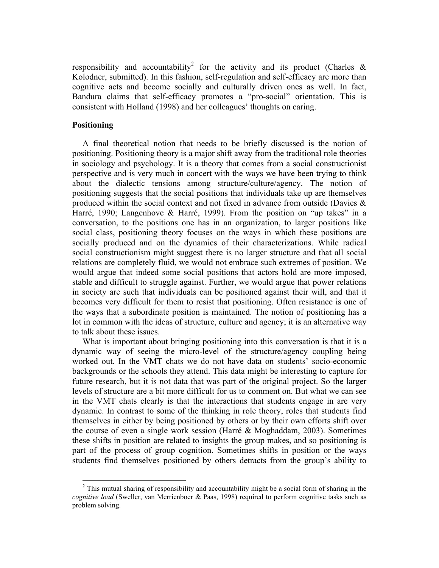responsibility and accountability<sup>2</sup> for the activity and its product (Charles & Kolodner, submitted). In this fashion, self-regulation and self-efficacy are more than cognitive acts and become socially and culturally driven ones as well. In fact, Bandura claims that self-efficacy promotes a "pro-social" orientation. This is consistent with Holland (1998) and her colleagues' thoughts on caring.

#### **Positioning**

A final theoretical notion that needs to be briefly discussed is the notion of positioning. Positioning theory is a major shift away from the traditional role theories in sociology and psychology. It is a theory that comes from a social constructionist perspective and is very much in concert with the ways we have been trying to think about the dialectic tensions among structure/culture/agency. The notion of positioning suggests that the social positions that individuals take up are themselves produced within the social context and not fixed in advance from outside (Davies  $\&$ Harré, 1990; Langenhove & Harré, 1999). From the position on "up takes" in a conversation, to the positions one has in an organization, to larger positions like social class, positioning theory focuses on the ways in which these positions are socially produced and on the dynamics of their characterizations. While radical social constructionism might suggest there is no larger structure and that all social relations are completely fluid, we would not embrace such extremes of position. We would argue that indeed some social positions that actors hold are more imposed, stable and difficult to struggle against. Further, we would argue that power relations in society are such that individuals can be positioned against their will, and that it becomes very difficult for them to resist that positioning. Often resistance is one of the ways that a subordinate position is maintained. The notion of positioning has a lot in common with the ideas of structure, culture and agency; it is an alternative way to talk about these issues.

What is important about bringing positioning into this conversation is that it is a dynamic way of seeing the micro-level of the structure/agency coupling being worked out. In the VMT chats we do not have data on students' socio-economic backgrounds or the schools they attend. This data might be interesting to capture for future research, but it is not data that was part of the original project. So the larger levels of structure are a bit more difficult for us to comment on. But what we can see in the VMT chats clearly is that the interactions that students engage in are very dynamic. In contrast to some of the thinking in role theory, roles that students find themselves in either by being positioned by others or by their own efforts shift over the course of even a single work session (Harré & Moghaddam, 2003). Sometimes these shifts in position are related to insights the group makes, and so positioning is part of the process of group cognition. Sometimes shifts in position or the ways students find themselves positioned by others detracts from the group's ability to

 $\frac{1}{2}$  $\frac{1}{2}$  This mutual sharing of responsibility and accountability might be a social form of sharing in the *cognitive load* (Sweller, van Merrienboer & Paas, 1998) required to perform cognitive tasks such as problem solving.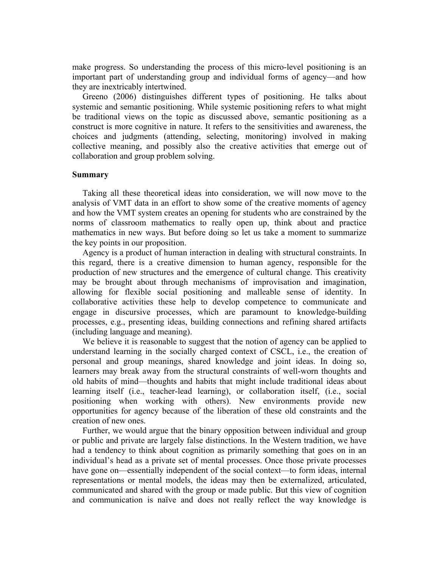make progress. So understanding the process of this micro-level positioning is an important part of understanding group and individual forms of agency—and how they are inextricably intertwined.

Greeno (2006) distinguishes different types of positioning. He talks about systemic and semantic positioning. While systemic positioning refers to what might be traditional views on the topic as discussed above, semantic positioning as a construct is more cognitive in nature. It refers to the sensitivities and awareness, the choices and judgments (attending, selecting, monitoring) involved in making collective meaning, and possibly also the creative activities that emerge out of collaboration and group problem solving.

#### **Summary**

Taking all these theoretical ideas into consideration, we will now move to the analysis of VMT data in an effort to show some of the creative moments of agency and how the VMT system creates an opening for students who are constrained by the norms of classroom mathematics to really open up, think about and practice mathematics in new ways. But before doing so let us take a moment to summarize the key points in our proposition.

Agency is a product of human interaction in dealing with structural constraints. In this regard, there is a creative dimension to human agency, responsible for the production of new structures and the emergence of cultural change. This creativity may be brought about through mechanisms of improvisation and imagination, allowing for flexible social positioning and malleable sense of identity. In collaborative activities these help to develop competence to communicate and engage in discursive processes, which are paramount to knowledge-building processes, e.g., presenting ideas, building connections and refining shared artifacts (including language and meaning).

We believe it is reasonable to suggest that the notion of agency can be applied to understand learning in the socially charged context of CSCL, i.e., the creation of personal and group meanings, shared knowledge and joint ideas. In doing so, learners may break away from the structural constraints of well-worn thoughts and old habits of mind—thoughts and habits that might include traditional ideas about learning itself (i.e., teacher-lead learning), or collaboration itself, (i.e., social positioning when working with others). New environments provide new opportunities for agency because of the liberation of these old constraints and the creation of new ones.

Further, we would argue that the binary opposition between individual and group or public and private are largely false distinctions. In the Western tradition, we have had a tendency to think about cognition as primarily something that goes on in an individual's head as a private set of mental processes. Once those private processes have gone on—essentially independent of the social context—to form ideas, internal representations or mental models, the ideas may then be externalized, articulated, communicated and shared with the group or made public. But this view of cognition and communication is naïve and does not really reflect the way knowledge is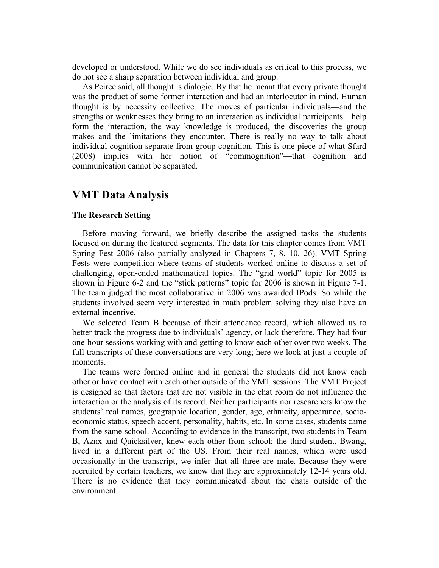developed or understood. While we do see individuals as critical to this process, we do not see a sharp separation between individual and group.

As Peirce said, all thought is dialogic. By that he meant that every private thought was the product of some former interaction and had an interlocutor in mind. Human thought is by necessity collective. The moves of particular individuals—and the strengths or weaknesses they bring to an interaction as individual participants—help form the interaction, the way knowledge is produced, the discoveries the group makes and the limitations they encounter. There is really no way to talk about individual cognition separate from group cognition. This is one piece of what Sfard (2008) implies with her notion of "commognition"—that cognition and communication cannot be separated.

### **VMT Data Analysis**

#### **The Research Setting**

Before moving forward, we briefly describe the assigned tasks the students focused on during the featured segments. The data for this chapter comes from VMT Spring Fest 2006 (also partially analyzed in Chapters 7, 8, 10, 26). VMT Spring Fests were competition where teams of students worked online to discuss a set of challenging, open-ended mathematical topics. The "grid world" topic for 2005 is shown in Figure 6-2 and the "stick patterns" topic for 2006 is shown in Figure 7-1. The team judged the most collaborative in 2006 was awarded IPods. So while the students involved seem very interested in math problem solving they also have an external incentive.

We selected Team B because of their attendance record, which allowed us to better track the progress due to individuals' agency, or lack therefore. They had four one-hour sessions working with and getting to know each other over two weeks. The full transcripts of these conversations are very long; here we look at just a couple of moments.

The teams were formed online and in general the students did not know each other or have contact with each other outside of the VMT sessions. The VMT Project is designed so that factors that are not visible in the chat room do not influence the interaction or the analysis of its record. Neither participants nor researchers know the students' real names, geographic location, gender, age, ethnicity, appearance, socioeconomic status, speech accent, personality, habits, etc. In some cases, students came from the same school. According to evidence in the transcript, two students in Team B, Aznx and Quicksilver, knew each other from school; the third student, Bwang, lived in a different part of the US. From their real names, which were used occasionally in the transcript, we infer that all three are male. Because they were recruited by certain teachers, we know that they are approximately 12-14 years old. There is no evidence that they communicated about the chats outside of the environment.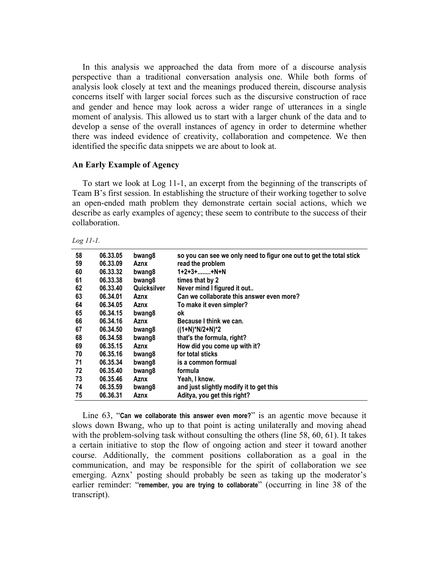In this analysis we approached the data from more of a discourse analysis perspective than a traditional conversation analysis one. While both forms of analysis look closely at text and the meanings produced therein, discourse analysis concerns itself with larger social forces such as the discursive construction of race and gender and hence may look across a wider range of utterances in a single moment of analysis. This allowed us to start with a larger chunk of the data and to develop a sense of the overall instances of agency in order to determine whether there was indeed evidence of creativity, collaboration and competence. We then identified the specific data snippets we are about to look at.

#### **An Early Example of Agency**

To start we look at Log 11-1, an excerpt from the beginning of the transcripts of Team B's first session. In establishing the structure of their working together to solve an open-ended math problem they demonstrate certain social actions, which we describe as early examples of agency; these seem to contribute to the success of their collaboration.

| 58<br>59 | 06.33.05<br>06.33.09 | bwang8<br><b>Aznx</b> | so you can see we only need to figur one out to get the total stick<br>read the problem |
|----------|----------------------|-----------------------|-----------------------------------------------------------------------------------------|
| 60       | 06.33.32             | bwang8                | 1+2+3+………+N+N                                                                           |
| 61       | 06.33.38             | bwang8                | times that by 2                                                                         |
| 62       | 06.33.40             | Quicksilver           | Never mind I figured it out                                                             |
| 63       | 06.34.01             | Aznx                  | Can we collaborate this answer even more?                                               |
| 64       | 06.34.05             | Aznx                  | To make it even simpler?                                                                |
| 65       | 06.34.15             | bwang8                | ok                                                                                      |
| 66       | 06.34.16             | Aznx                  | Because I think we can.                                                                 |
| 67       | 06.34.50             | bwang8                | $((1+N)^*N/2+N)^*2$                                                                     |
| 68       | 06.34.58             | bwang8                | that's the formula, right?                                                              |
| 69       | 06.35.15             | Aznx                  | How did you come up with it?                                                            |
| 70       | 06.35.16             | bwang8                | for total sticks                                                                        |
| 71       | 06.35.34             | bwang8                | is a common formual                                                                     |
| 72       | 06.35.40             | bwang8                | formula                                                                                 |
| 73       | 06.35.46             | Aznx                  | Yeah, I know.                                                                           |
| 74       | 06.35.59             | bwang8                | and just slightly modify it to get this                                                 |
| 75       | 06.36.31             | Aznx                  | Aditya, you get this right?                                                             |

Line 63, "**Can we collaborate this answer even more?**" is an agentic move because it slows down Bwang, who up to that point is acting unilaterally and moving ahead with the problem-solving task without consulting the others (line 58, 60, 61). It takes a certain initiative to stop the flow of ongoing action and steer it toward another course. Additionally, the comment positions collaboration as a goal in the communication, and may be responsible for the spirit of collaboration we see emerging. Aznx' posting should probably be seen as taking up the moderator's earlier reminder: "**remember, you are trying to collaborate**" (occurring in line 38 of the transcript).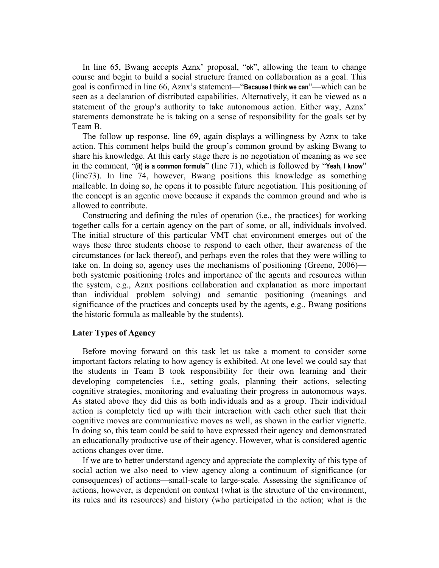In line 65, Bwang accepts Aznx' proposal, "**ok**", allowing the team to change course and begin to build a social structure framed on collaboration as a goal. This goal is confirmed in line 66, Aznx's statement—"**Because I think we can**"—which can be seen as a declaration of distributed capabilities. Alternatively, it can be viewed as a statement of the group's authority to take autonomous action. Either way, Aznx' statements demonstrate he is taking on a sense of responsibility for the goals set by Team B.

The follow up response, line 69, again displays a willingness by Aznx to take action. This comment helps build the group's common ground by asking Bwang to share his knowledge. At this early stage there is no negotiation of meaning as we see in the comment, "**(it) is a common formula**" (line 71), which is followed by "**Yeah, I know**" (line73). In line 74, however, Bwang positions this knowledge as something malleable. In doing so, he opens it to possible future negotiation. This positioning of the concept is an agentic move because it expands the common ground and who is allowed to contribute.

Constructing and defining the rules of operation (i.e., the practices) for working together calls for a certain agency on the part of some, or all, individuals involved. The initial structure of this particular VMT chat environment emerges out of the ways these three students choose to respond to each other, their awareness of the circumstances (or lack thereof), and perhaps even the roles that they were willing to take on. In doing so, agency uses the mechanisms of positioning (Greeno, 2006) both systemic positioning (roles and importance of the agents and resources within the system, e.g., Aznx positions collaboration and explanation as more important than individual problem solving) and semantic positioning (meanings and significance of the practices and concepts used by the agents, e.g., Bwang positions the historic formula as malleable by the students).

#### **Later Types of Agency**

Before moving forward on this task let us take a moment to consider some important factors relating to how agency is exhibited. At one level we could say that the students in Team B took responsibility for their own learning and their developing competencies—i.e., setting goals, planning their actions, selecting cognitive strategies, monitoring and evaluating their progress in autonomous ways. As stated above they did this as both individuals and as a group. Their individual action is completely tied up with their interaction with each other such that their cognitive moves are communicative moves as well, as shown in the earlier vignette. In doing so, this team could be said to have expressed their agency and demonstrated an educationally productive use of their agency. However, what is considered agentic actions changes over time.

If we are to better understand agency and appreciate the complexity of this type of social action we also need to view agency along a continuum of significance (or consequences) of actions—small-scale to large-scale. Assessing the significance of actions, however, is dependent on context (what is the structure of the environment, its rules and its resources) and history (who participated in the action; what is the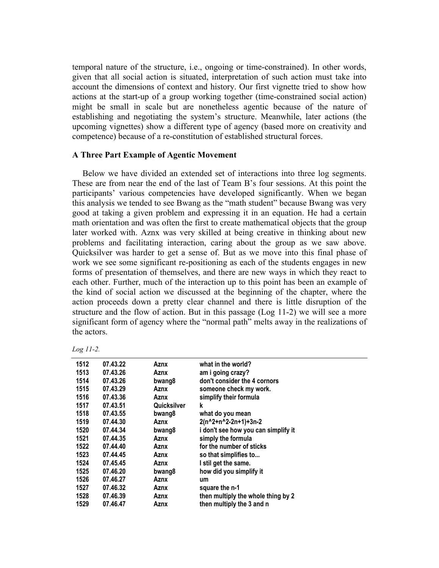temporal nature of the structure, i.e., ongoing or time-constrained). In other words, given that all social action is situated, interpretation of such action must take into account the dimensions of context and history. Our first vignette tried to show how actions at the start-up of a group working together (time-constrained social action) might be small in scale but are nonetheless agentic because of the nature of establishing and negotiating the system's structure. Meanwhile, later actions (the upcoming vignettes) show a different type of agency (based more on creativity and competence) because of a re-constitution of established structural forces.

#### **A Three Part Example of Agentic Movement**

Below we have divided an extended set of interactions into three log segments. These are from near the end of the last of Team B's four sessions. At this point the participants' various competencies have developed significantly. When we began this analysis we tended to see Bwang as the "math student" because Bwang was very good at taking a given problem and expressing it in an equation. He had a certain math orientation and was often the first to create mathematical objects that the group later worked with. Aznx was very skilled at being creative in thinking about new problems and facilitating interaction, caring about the group as we saw above. Quicksilver was harder to get a sense of. But as we move into this final phase of work we see some significant re-positioning as each of the students engages in new forms of presentation of themselves, and there are new ways in which they react to each other. Further, much of the interaction up to this point has been an example of the kind of social action we discussed at the beginning of the chapter, where the action proceeds down a pretty clear channel and there is little disruption of the structure and the flow of action. But in this passage (Log 11-2) we will see a more significant form of agency where the "normal path" melts away in the realizations of the actors.

| 1512 | 07.43.22 | Aznx        | what in the world?                  |
|------|----------|-------------|-------------------------------------|
| 1513 | 07.43.26 | Aznx        | am i going crazy?                   |
| 1514 | 07.43.26 | bwang8      | don't consider the 4 cornors        |
| 1515 | 07.43.29 | Aznx        | someone check my work.              |
| 1516 | 07.43.36 | Aznx        | simplify their formula              |
| 1517 | 07.43.51 | Quicksilver | k                                   |
| 1518 | 07.43.55 | bwang8      | what do you mean                    |
| 1519 | 07.44.30 | Aznx        | $2(n^2+n^2-2n+1)+3n-2$              |
| 1520 | 07.44.34 | bwang8      | i don't see how you can simplify it |
| 1521 | 07.44.35 | Aznx        | simply the formula                  |
| 1522 | 07.44.40 | Aznx        | for the number of sticks            |
| 1523 | 07.44.45 | Aznx        | so that simplifies to               |
| 1524 | 07.45.45 | Aznx        | I stil get the same.                |
| 1525 | 07.46.20 | bwang8      | how did you simplify it             |
| 1526 | 07.46.27 | Aznx        | um                                  |
| 1527 | 07.46.32 | Aznx        | square the n-1                      |
| 1528 | 07.46.39 | Aznx        | then multiply the whole thing by 2  |
| 1529 | 07.46.47 | Aznx        | then multiply the 3 and n           |
|      |          |             |                                     |

|--|--|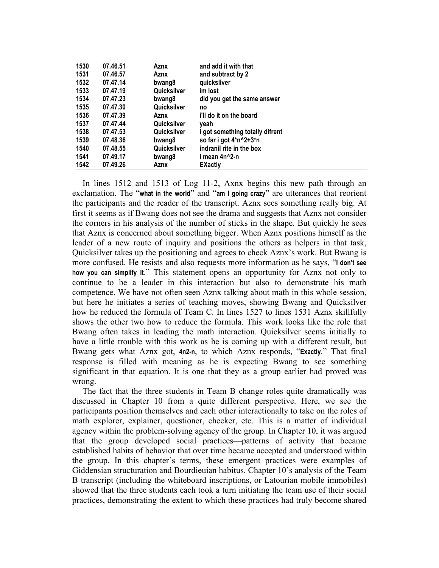| 1530 | 07.46.51 | Aznx        | and add it with that            |
|------|----------|-------------|---------------------------------|
| 1531 | 07.46.57 | Aznx        | and subtract by 2               |
| 1532 | 07.47.14 | bwang8      | quicksliver                     |
| 1533 | 07.47.19 | Quicksilver | im lost                         |
| 1534 | 07.47.23 | bwang8      | did you get the same answer     |
| 1535 | 07.47.30 | Quicksilver | no                              |
| 1536 | 07.47.39 | Aznx        | i'll do it on the board         |
| 1537 | 07.47.44 | Quicksilver | veah                            |
| 1538 | 07.47.53 | Quicksilver | i got something totally difrent |
| 1539 | 07.48.36 | bwang8      | so far i got 4*n^2+3*n          |
| 1540 | 07.48.55 | Quicksilver | indranil rite in the box        |
| 1541 | 07.49.17 | bwang8      | i mean 4n^2-n                   |
| 1542 | 07.49.26 | Aznx        | <b>EXactly</b>                  |

In lines 1512 and 1513 of Log 11-2, Axnx begins this new path through an exclamation. The "**what in the world**" and "**am I going crazy**" are utterances that reorient the participants and the reader of the transcript. Aznx sees something really big. At first it seems as if Bwang does not see the drama and suggests that Aznx not consider the corners in his analysis of the number of sticks in the shape. But quickly he sees that Aznx is concerned about something bigger. When Aznx positions himself as the leader of a new route of inquiry and positions the others as helpers in that task, Quicksilver takes up the positioning and agrees to check Aznx's work. But Bwang is more confused. He resists and also requests more information as he says, "**I don't see how you can simplify it**." This statement opens an opportunity for Aznx not only to continue to be a leader in this interaction but also to demonstrate his math competence. We have not often seen Aznx talking about math in this whole session, but here he initiates a series of teaching moves, showing Bwang and Quicksilver how he reduced the formula of Team C. In lines 1527 to lines 1531 Aznx skillfully shows the other two how to reduce the formula. This work looks like the role that Bwang often takes in leading the math interaction. Quicksilver seems initially to have a little trouble with this work as he is coming up with a different result, but Bwang gets what Aznx got, **4n2-n**, to which Aznx responds, "**Exactly**." That final response is filled with meaning as he is expecting Bwang to see something significant in that equation. It is one that they as a group earlier had proved was wrong.

The fact that the three students in Team B change roles quite dramatically was discussed in Chapter 10 from a quite different perspective. Here, we see the participants position themselves and each other interactionally to take on the roles of math explorer, explainer, questioner, checker, etc. This is a matter of individual agency within the problem-solving agency of the group. In Chapter 10, it was argued that the group developed social practices—patterns of activity that became established habits of behavior that over time became accepted and understood within the group. In this chapter's terms, these emergent practices were examples of Giddensian structuration and Bourdieuian habitus. Chapter 10's analysis of the Team B transcript (including the whiteboard inscriptions, or Latourian mobile immobiles) showed that the three students each took a turn initiating the team use of their social practices, demonstrating the extent to which these practices had truly become shared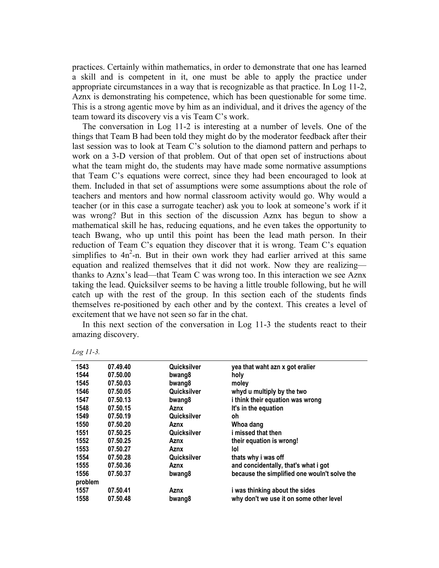practices. Certainly within mathematics, in order to demonstrate that one has learned a skill and is competent in it, one must be able to apply the practice under appropriate circumstances in a way that is recognizable as that practice. In Log 11-2, Aznx is demonstrating his competence, which has been questionable for some time. This is a strong agentic move by him as an individual, and it drives the agency of the team toward its discovery vis a vis Team C's work.

The conversation in Log 11-2 is interesting at a number of levels. One of the things that Team B had been told they might do by the moderator feedback after their last session was to look at Team C's solution to the diamond pattern and perhaps to work on a 3-D version of that problem. Out of that open set of instructions about what the team might do, the students may have made some normative assumptions that Team C's equations were correct, since they had been encouraged to look at them. Included in that set of assumptions were some assumptions about the role of teachers and mentors and how normal classroom activity would go. Why would a teacher (or in this case a surrogate teacher) ask you to look at someone's work if it was wrong? But in this section of the discussion Aznx has begun to show a mathematical skill he has, reducing equations, and he even takes the opportunity to teach Bwang, who up until this point has been the lead math person. In their reduction of Team C's equation they discover that it is wrong. Team C's equation simplifies to  $4n^2$ -n. But in their own work they had earlier arrived at this same equation and realized themselves that it did not work. Now they are realizing thanks to Aznx's lead—that Team C was wrong too. In this interaction we see Aznx taking the lead. Quicksilver seems to be having a little trouble following, but he will catch up with the rest of the group. In this section each of the students finds themselves re-positioned by each other and by the context. This creates a level of excitement that we have not seen so far in the chat.

In this next section of the conversation in Log 11-3 the students react to their amazing discovery.

| 1543    | 07.49.40 | Quicksilver | yea that waht azn x got eralier              |
|---------|----------|-------------|----------------------------------------------|
| 1544    | 07.50.00 | bwang8      | holy                                         |
| 1545    | 07.50.03 | bwang8      | moley                                        |
| 1546    | 07.50.05 | Quicksilver | whyd u multiply by the two                   |
| 1547    | 07.50.13 | bwang8      | i think their equation was wrong             |
| 1548    | 07.50.15 | Aznx        | It's in the equation                         |
| 1549    | 07.50.19 | Quicksilver | oh                                           |
| 1550    | 07.50.20 | Aznx        | Whoa dang                                    |
| 1551    | 07.50.25 | Quicksilver | i missed that then                           |
| 1552    | 07.50.25 | Aznx        | their equation is wrong!                     |
| 1553    | 07.50.27 | Aznx        | lol                                          |
| 1554    | 07.50.28 | Quicksilver | thats why i was off                          |
| 1555    | 07.50.36 | Aznx        | and concidentally, that's what i got         |
| 1556    | 07.50.37 | bwang8      | because the simplified one wouln't solve the |
| problem |          |             |                                              |
| 1557    | 07.50.41 | Aznx        | i was thinking about the sides               |
| 1558    | 07.50.48 | bwang8      | why don't we use it on some other level      |

*Log 11-3.*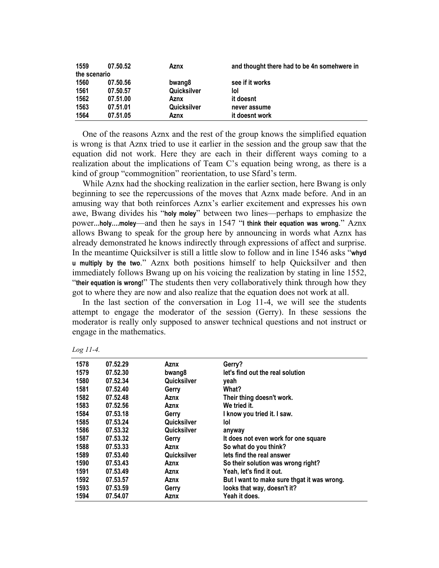| 1559         | 07.50.52 | Aznx        | and thought there had to be 4n somehwere in |
|--------------|----------|-------------|---------------------------------------------|
| the scenario |          |             |                                             |
| 1560         | 07.50.56 | bwang8      | see if it works                             |
| 1561         | 07.50.57 | Quicksilver | lol                                         |
| 1562         | 07.51.00 | Aznx        | it doesnt                                   |
| 1563         | 07.51.01 | Quicksilver | never assume                                |
| 1564         | 07.51.05 | Aznx        | it doesnt work                              |

One of the reasons Aznx and the rest of the group knows the simplified equation is wrong is that Aznx tried to use it earlier in the session and the group saw that the equation did not work. Here they are each in their different ways coming to a realization about the implications of Team C's equation being wrong, as there is a kind of group "commognition" reorientation, to use Sfard's term.

While Aznx had the shocking realization in the earlier section, here Bwang is only beginning to see the repercussions of the moves that Aznx made before. And in an amusing way that both reinforces Aznx's earlier excitement and expresses his own awe, Bwang divides his "**holy moley**" between two lines—perhaps to emphasize the power**…holy….moley**—and then he says in 1547 "**I think their equation was wrong**." Aznx allows Bwang to speak for the group here by announcing in words what Aznx has already demonstrated he knows indirectly through expressions of affect and surprise. In the meantime Quicksilver is still a little slow to follow and in line 1546 asks "**whyd u multiply by the two**." Aznx both positions himself to help Quicksilver and then immediately follows Bwang up on his voicing the realization by stating in line 1552, "**their equation is wrong!**" The students then very collaboratively think through how they got to where they are now and also realize that the equation does not work at all.

In the last section of the conversation in Log 11-4, we will see the students attempt to engage the moderator of the session (Gerry). In these sessions the moderator is really only supposed to answer technical questions and not instruct or engage in the mathematics.

| 07.52.29 | Aznx        | Gerry?                                      |
|----------|-------------|---------------------------------------------|
| 07.52.30 | bwang8      | let's find out the real solution            |
| 07.52.34 | Quicksilver | veah                                        |
| 07.52.40 | Gerry       | What?                                       |
| 07.52.48 | Aznx        | Their thing doesn't work.                   |
| 07.52.56 | Aznx        | We tried it.                                |
| 07.53.18 | Gerry       | I know you tried it. I saw.                 |
| 07.53.24 | Quicksilver | lol                                         |
| 07.53.32 | Quicksilver | anyway                                      |
| 07.53.32 | Gerry       | It does not even work for one square        |
| 07.53.33 | Aznx        | So what do you think?                       |
| 07.53.40 | Quicksilver | lets find the real answer                   |
| 07.53.43 | Aznx        | So their solution was wrong right?          |
| 07.53.49 | Aznx        | Yeah, let's find it out.                    |
| 07.53.57 | Aznx        | But I want to make sure thgat it was wrong. |
| 07.53.59 | Gerry       | looks that way, doesn't it?                 |
| 07.54.07 | Aznx        | Yeah it does.                               |
|          |             |                                             |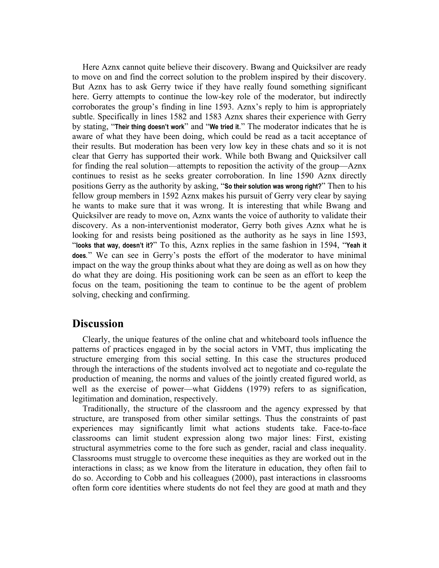Here Aznx cannot quite believe their discovery. Bwang and Quicksilver are ready to move on and find the correct solution to the problem inspired by their discovery. But Aznx has to ask Gerry twice if they have really found something significant here. Gerry attempts to continue the low-key role of the moderator, but indirectly corroborates the group's finding in line 1593. Aznx's reply to him is appropriately subtle. Specifically in lines 1582 and 1583 Aznx shares their experience with Gerry by stating, "**Their thing doesn't work**" and "**We tried it**." The moderator indicates that he is aware of what they have been doing, which could be read as a tacit acceptance of their results. But moderation has been very low key in these chats and so it is not clear that Gerry has supported their work. While both Bwang and Quicksilver call for finding the real solution—attempts to reposition the activity of the group—Aznx continues to resist as he seeks greater corroboration. In line 1590 Aznx directly positions Gerry as the authority by asking, "**So their solution was wrong right?**" Then to his fellow group members in 1592 Aznx makes his pursuit of Gerry very clear by saying he wants to make sure that it was wrong. It is interesting that while Bwang and Quicksilver are ready to move on, Aznx wants the voice of authority to validate their discovery. As a non-interventionist moderator, Gerry both gives Aznx what he is looking for and resists being positioned as the authority as he says in line 1593, "**looks that way, doesn't it?**" To this, Aznx replies in the same fashion in 1594, "**Yeah it does***.*" We can see in Gerry's posts the effort of the moderator to have minimal impact on the way the group thinks about what they are doing as well as on how they do what they are doing. His positioning work can be seen as an effort to keep the focus on the team, positioning the team to continue to be the agent of problem solving, checking and confirming.

### **Discussion**

Clearly, the unique features of the online chat and whiteboard tools influence the patterns of practices engaged in by the social actors in VMT, thus implicating the structure emerging from this social setting. In this case the structures produced through the interactions of the students involved act to negotiate and co-regulate the production of meaning, the norms and values of the jointly created figured world, as well as the exercise of power—what Giddens (1979) refers to as signification, legitimation and domination, respectively.

Traditionally, the structure of the classroom and the agency expressed by that structure, are transposed from other similar settings. Thus the constraints of past experiences may significantly limit what actions students take. Face-to-face classrooms can limit student expression along two major lines: First, existing structural asymmetries come to the fore such as gender, racial and class inequality. Classrooms must struggle to overcome these inequities as they are worked out in the interactions in class; as we know from the literature in education, they often fail to do so. According to Cobb and his colleagues (2000), past interactions in classrooms often form core identities where students do not feel they are good at math and they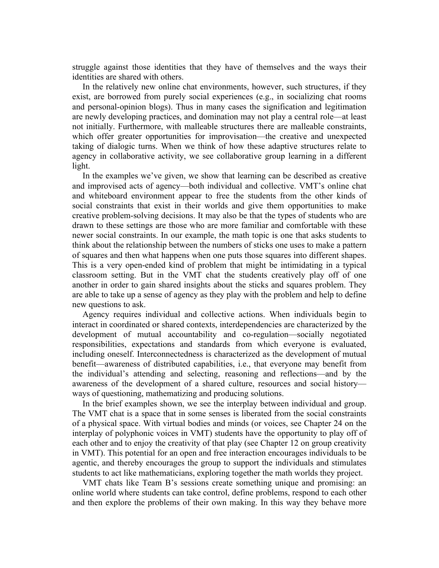struggle against those identities that they have of themselves and the ways their identities are shared with others.

In the relatively new online chat environments, however, such structures, if they exist, are borrowed from purely social experiences (e.g., in socializing chat rooms and personal-opinion blogs). Thus in many cases the signification and legitimation are newly developing practices, and domination may not play a central role—at least not initially. Furthermore, with malleable structures there are malleable constraints, which offer greater opportunities for improvisation—the creative and unexpected taking of dialogic turns. When we think of how these adaptive structures relate to agency in collaborative activity, we see collaborative group learning in a different light.

In the examples we've given, we show that learning can be described as creative and improvised acts of agency—both individual and collective. VMT's online chat and whiteboard environment appear to free the students from the other kinds of social constraints that exist in their worlds and give them opportunities to make creative problem-solving decisions. It may also be that the types of students who are drawn to these settings are those who are more familiar and comfortable with these newer social constraints. In our example, the math topic is one that asks students to think about the relationship between the numbers of sticks one uses to make a pattern of squares and then what happens when one puts those squares into different shapes. This is a very open-ended kind of problem that might be intimidating in a typical classroom setting. But in the VMT chat the students creatively play off of one another in order to gain shared insights about the sticks and squares problem. They are able to take up a sense of agency as they play with the problem and help to define new questions to ask.

Agency requires individual and collective actions. When individuals begin to interact in coordinated or shared contexts, interdependencies are characterized by the development of mutual accountability and co-regulation—socially negotiated responsibilities, expectations and standards from which everyone is evaluated, including oneself. Interconnectedness is characterized as the development of mutual benefit—awareness of distributed capabilities, i.e., that everyone may benefit from the individual's attending and selecting, reasoning and reflections—and by the awareness of the development of a shared culture, resources and social history ways of questioning, mathematizing and producing solutions.

In the brief examples shown, we see the interplay between individual and group. The VMT chat is a space that in some senses is liberated from the social constraints of a physical space. With virtual bodies and minds (or voices, see Chapter 24 on the interplay of polyphonic voices in VMT) students have the opportunity to play off of each other and to enjoy the creativity of that play (see Chapter 12 on group creativity in VMT). This potential for an open and free interaction encourages individuals to be agentic, and thereby encourages the group to support the individuals and stimulates students to act like mathematicians, exploring together the math worlds they project.

VMT chats like Team B's sessions create something unique and promising: an online world where students can take control, define problems, respond to each other and then explore the problems of their own making. In this way they behave more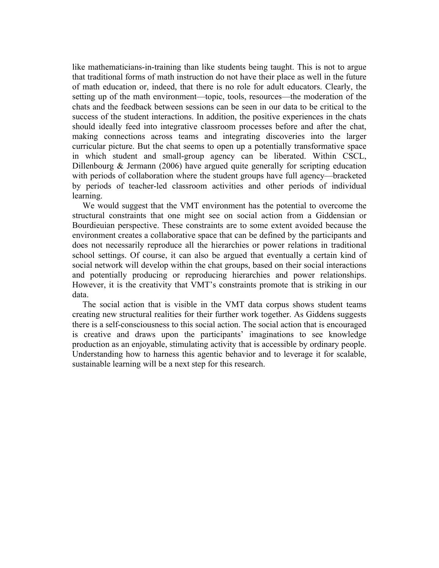like mathematicians-in-training than like students being taught. This is not to argue that traditional forms of math instruction do not have their place as well in the future of math education or, indeed, that there is no role for adult educators. Clearly, the setting up of the math environment—topic, tools, resources—the moderation of the chats and the feedback between sessions can be seen in our data to be critical to the success of the student interactions. In addition, the positive experiences in the chats should ideally feed into integrative classroom processes before and after the chat, making connections across teams and integrating discoveries into the larger curricular picture. But the chat seems to open up a potentially transformative space in which student and small-group agency can be liberated. Within CSCL, Dillenbourg & Jermann (2006) have argued quite generally for scripting education with periods of collaboration where the student groups have full agency—bracketed by periods of teacher-led classroom activities and other periods of individual learning.

We would suggest that the VMT environment has the potential to overcome the structural constraints that one might see on social action from a Giddensian or Bourdieuian perspective. These constraints are to some extent avoided because the environment creates a collaborative space that can be defined by the participants and does not necessarily reproduce all the hierarchies or power relations in traditional school settings. Of course, it can also be argued that eventually a certain kind of social network will develop within the chat groups, based on their social interactions and potentially producing or reproducing hierarchies and power relationships. However, it is the creativity that VMT's constraints promote that is striking in our data.

The social action that is visible in the VMT data corpus shows student teams creating new structural realities for their further work together. As Giddens suggests there is a self-consciousness to this social action. The social action that is encouraged is creative and draws upon the participants' imaginations to see knowledge production as an enjoyable, stimulating activity that is accessible by ordinary people. Understanding how to harness this agentic behavior and to leverage it for scalable, sustainable learning will be a next step for this research.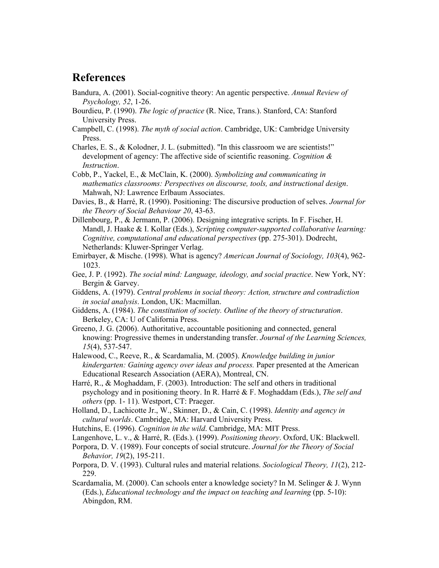### **References**

- Bandura, A. (2001). Social-cognitive theory: An agentic perspective. *Annual Review of Psychology, 52*, 1-26.
- Bourdieu, P. (1990). *The logic of practice* (R. Nice, Trans.). Stanford, CA: Stanford University Press.
- Campbell, C. (1998). *The myth of social action*. Cambridge, UK: Cambridge University Press.
- Charles, E. S., & Kolodner, J. L. (submitted). "In this classroom we are scientists!" development of agency: The affective side of scientific reasoning. *Cognition & Instruction*.
- Cobb, P., Yackel, E., & McClain, K. (2000). *Symbolizing and communicating in mathematics classrooms: Perspectives on discourse, tools, and instructional design*. Mahwah, NJ: Lawrence Erlbaum Associates.
- Davies, B., & Harré, R. (1990). Positioning: The discursive production of selves. *Journal for the Theory of Social Behaviour 20*, 43-63.
- Dillenbourg, P., & Jermann, P. (2006). Designing integrative scripts. In F. Fischer, H. Mandl, J. Haake & I. Kollar (Eds.), *Scripting computer-supported collaborative learning: Cognitive, computational and educational perspectives* (pp. 275-301). Dodrecht, Netherlands: Kluwer-Springer Verlag.
- Emirbayer, & Mische. (1998). What is agency? *American Journal of Sociology, 103*(4), 962- 1023.
- Gee, J. P. (1992). *The social mind: Language, ideology, and social practice*. New York, NY: Bergin & Garvey.
- Giddens, A. (1979). *Central problems in social theory: Action, structure and contradiction in social analysis*. London, UK: Macmillan.
- Giddens, A. (1984). *The constitution of society. Outline of the theory of structuration*. Berkeley, CA: U of California Press.
- Greeno, J. G. (2006). Authoritative, accountable positioning and connected, general knowing: Progressive themes in understanding transfer. *Journal of the Learning Sciences, 15*(4), 537-547.
- Halewood, C., Reeve, R., & Scardamalia, M. (2005). *Knowledge building in junior kindergarten: Gaining agency over ideas and process.* Paper presented at the American Educational Research Association (AERA), Montreal, CN.
- Harré, R., & Moghaddam, F. (2003). Introduction: The self and others in traditional psychology and in positioning theory. In R. Harré & F. Moghaddam (Eds.), *The self and others* (pp. 1- 11). Westport, CT: Praeger.
- Holland, D., Lachicotte Jr., W., Skinner, D., & Cain, C. (1998). *Identity and agency in cultural worlds*. Cambridge, MA: Harvard University Press.
- Hutchins, E. (1996). *Cognition in the wild*. Cambridge, MA: MIT Press.
- Langenhove, L. v., & Harré, R. (Eds.). (1999). *Positioning theory*. Oxford, UK: Blackwell.
- Porpora, D. V. (1989). Four concepts of social strutcure. *Journal for the Theory of Social Behavior, 19*(2), 195-211.
- Porpora, D. V. (1993). Cultural rules and material relations. *Sociological Theory, 11*(2), 212- 229.
- Scardamalia, M. (2000). Can schools enter a knowledge society? In M. Selinger & J. Wynn (Eds.), *Educational technology and the impact on teaching and learning* (pp. 5-10): Abingdon, RM.